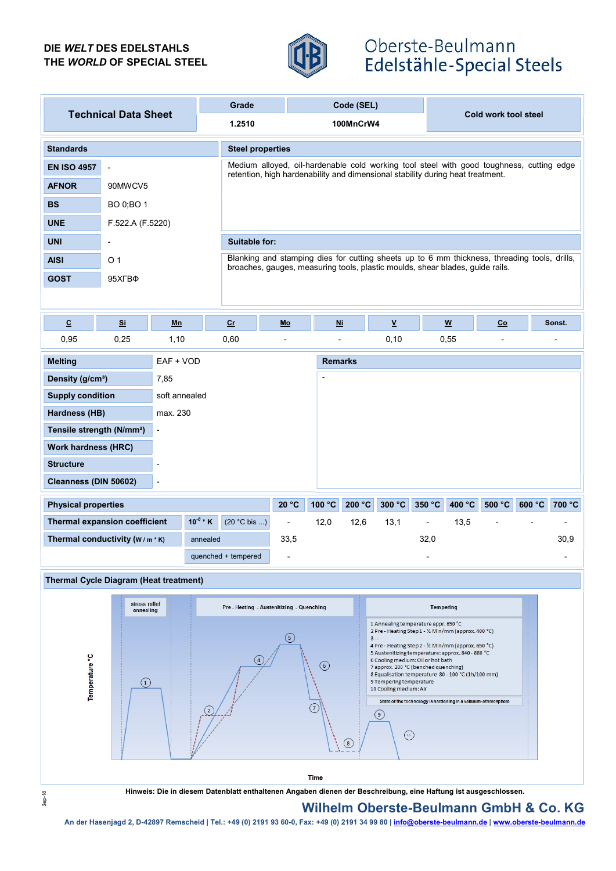### DIE WELT DES EDELSTAHLS THE WORLD OF SPECIAL STEEL



# Oberste-Beulmann Edelstähle-Special Steels

| <b>Technical Data Sheet</b>                           |                                                                   |                | Grade    |                                                                                                                                                                            |                | Code (SEL)     |                                                              |                                                                                                                    |        |                                                      |                |        |        |
|-------------------------------------------------------|-------------------------------------------------------------------|----------------|----------|----------------------------------------------------------------------------------------------------------------------------------------------------------------------------|----------------|----------------|--------------------------------------------------------------|--------------------------------------------------------------------------------------------------------------------|--------|------------------------------------------------------|----------------|--------|--------|
|                                                       |                                                                   |                |          | 1.2510                                                                                                                                                                     |                | 100MnCrW4      |                                                              |                                                                                                                    |        | Cold work tool steel                                 |                |        |        |
| <b>Standards</b>                                      |                                                                   |                |          | <b>Steel properties</b>                                                                                                                                                    |                |                |                                                              |                                                                                                                    |        |                                                      |                |        |        |
| <b>EN ISO 4957</b>                                    | $\overline{\phantom{a}}$                                          |                |          | Medium alloyed, oil-hardenable cold working tool steel with good toughness, cutting edge<br>retention, high hardenability and dimensional stability during heat treatment. |                |                |                                                              |                                                                                                                    |        |                                                      |                |        |        |
| <b>AFNOR</b>                                          | 90MWCV5                                                           |                |          |                                                                                                                                                                            |                |                |                                                              |                                                                                                                    |        |                                                      |                |        |        |
| <b>BS</b>                                             | BO 0;BO 1                                                         |                |          |                                                                                                                                                                            |                |                |                                                              |                                                                                                                    |        |                                                      |                |        |        |
| <b>UNE</b>                                            | F.522.A (F.5220)                                                  |                |          |                                                                                                                                                                            |                |                |                                                              |                                                                                                                    |        |                                                      |                |        |        |
| <b>UNI</b>                                            | $\overline{\phantom{m}}$                                          |                |          | <b>Suitable for:</b>                                                                                                                                                       |                |                |                                                              |                                                                                                                    |        |                                                      |                |        |        |
| <b>AISI</b>                                           | O 1                                                               |                |          | Blanking and stamping dies for cutting sheets up to 6 mm thickness, threading tools, drills,                                                                               |                |                |                                                              |                                                                                                                    |        |                                                      |                |        |        |
| <b>GOST</b>                                           | 95XFB <sub><sup><math>\Phi</math></sup></sub>                     |                |          | broaches, gauges, measuring tools, plastic moulds, shear blades, guide rails.                                                                                              |                |                |                                                              |                                                                                                                    |        |                                                      |                |        |        |
|                                                       |                                                                   |                |          |                                                                                                                                                                            |                |                |                                                              |                                                                                                                    |        |                                                      |                |        |        |
| $\underline{\textbf{C}}$                              | $S_{\rm i}$                                                       | Mn             |          | c <sub>r</sub>                                                                                                                                                             | Mo             | <b>Ni</b>      |                                                              | $\underline{\mathsf{v}}$                                                                                           |        | $\underline{\mathsf{w}}$                             | Co             |        | Sonst. |
| 0,95                                                  | 0,25                                                              | 1,10           |          | 0,60                                                                                                                                                                       | $\overline{a}$ | $\overline{a}$ |                                                              | 0, 10                                                                                                              | 0,55   |                                                      | $\overline{a}$ |        |        |
| EAF + VOD<br><b>Melting</b>                           |                                                                   |                |          |                                                                                                                                                                            |                | <b>Remarks</b> |                                                              |                                                                                                                    |        |                                                      |                |        |        |
| Density (g/cm <sup>3</sup> )                          |                                                                   | 7,85           |          |                                                                                                                                                                            |                | $\blacksquare$ |                                                              |                                                                                                                    |        |                                                      |                |        |        |
| <b>Supply condition</b><br>soft annealed              |                                                                   |                |          |                                                                                                                                                                            |                |                |                                                              |                                                                                                                    |        |                                                      |                |        |        |
| Hardness (HB)<br>max. 230                             |                                                                   |                |          |                                                                                                                                                                            |                |                |                                                              |                                                                                                                    |        |                                                      |                |        |        |
|                                                       | Tensile strength (N/mm <sup>2</sup> )<br>$\overline{\phantom{a}}$ |                |          |                                                                                                                                                                            |                |                |                                                              |                                                                                                                    |        |                                                      |                |        |        |
| <b>Work hardness (HRC)</b>                            |                                                                   |                |          |                                                                                                                                                                            |                |                |                                                              |                                                                                                                    |        |                                                      |                |        |        |
| <b>Structure</b><br>$\overline{a}$                    |                                                                   |                |          |                                                                                                                                                                            |                |                |                                                              |                                                                                                                    |        |                                                      |                |        |        |
| Cleanness (DIN 50602)                                 |                                                                   | $\blacksquare$ |          |                                                                                                                                                                            |                |                |                                                              |                                                                                                                    |        |                                                      |                |        |        |
| <b>Physical properties</b>                            |                                                                   |                |          |                                                                                                                                                                            | 20 °C          | 100 °C         | 200 °C                                                       | 300 °C                                                                                                             | 350 °C | 400 °C                                               | 500 °C         | 600 °C | 700 °C |
| $10^{-6}$ * K<br><b>Thermal expansion coefficient</b> |                                                                   |                |          | $(20 °C$ bis )                                                                                                                                                             | 33,5           | 12,0           | 12,6                                                         | 13,1                                                                                                               |        | 13,5                                                 |                |        |        |
| Thermal conductivity $(W/m * K)$                      |                                                                   |                | annealed |                                                                                                                                                                            |                | 32,0           |                                                              |                                                                                                                    |        |                                                      |                | 30,9   |        |
|                                                       |                                                                   |                |          | quenched + tempered                                                                                                                                                        |                |                |                                                              |                                                                                                                    |        |                                                      |                |        |        |
| <b>Thermal Cycle Diagram (Heat treatment)</b>         |                                                                   |                |          |                                                                                                                                                                            |                |                |                                                              |                                                                                                                    |        |                                                      |                |        |        |
|                                                       | stress relief<br>annealing                                        |                |          | Pre - Heating - Austenitizing - Quenching                                                                                                                                  |                |                |                                                              |                                                                                                                    |        | <b>Tempering</b>                                     |                |        |        |
|                                                       |                                                                   |                |          |                                                                                                                                                                            |                |                |                                                              | 1 Annealing temperature appr. 650 °C                                                                               |        | 2 Pre - Heating Step 1 - 1/2 Min/mm (approx. 400 °C) |                |        |        |
|                                                       |                                                                   |                |          | $\left(5\right)$                                                                                                                                                           |                |                |                                                              | $3 -$<br>4 Pre - Heating Step 2 - 1/2 Min/mm (approx. 650 °C)<br>5 Austenitizing temperature: approx. 840 - 880 °C |        |                                                      |                |        |        |
|                                                       |                                                                   |                |          | (4)<br>$\circled{6}$                                                                                                                                                       |                |                |                                                              | 6 Cooling medium: Oil or hot bath<br>7 approx. 200 °C (benched quenching)                                          |        |                                                      |                |        |        |
| Temperature <sup>°</sup> C                            | $\left( 1\right)$                                                 |                |          |                                                                                                                                                                            |                |                | 9 Tempering temperature<br>10 Cooling medium: Air            |                                                                                                                    |        | 8 Equalisation temperature 80 - 100 °C (1h/100 mm)   |                |        |        |
|                                                       |                                                                   |                |          |                                                                                                                                                                            |                |                | State of the technology is hardening in a vakuum-athmosphere |                                                                                                                    |        |                                                      |                |        |        |
|                                                       |                                                                   |                |          |                                                                                                                                                                            |                |                | (9)                                                          |                                                                                                                    |        |                                                      |                |        |        |
|                                                       |                                                                   |                |          | $\bigcirc$<br>$\circled{\scriptstyle\circ}$                                                                                                                                |                |                |                                                              |                                                                                                                    |        |                                                      |                |        |        |
|                                                       |                                                                   |                |          |                                                                                                                                                                            |                |                |                                                              |                                                                                                                    |        |                                                      |                |        |        |
|                                                       |                                                                   |                |          |                                                                                                                                                                            |                | <b>Time</b>    |                                                              |                                                                                                                    |        |                                                      |                |        |        |



Hinweis: Die in diesem Datenblatt enthaltenen Angaben dienen der Beschreibung, eine Haftung ist ausgeschlossen.

## Wilhelm Oberste-Beulmann GmbH & Co. KG

An der Hasenjagd 2, D-42897 Remscheid | Tel.: +49 (0) 2191 93 60-0, Fax: +49 (0) 2191 93 60-0, Fax: +49 (0) 2191 34 99 80 | info@oberste-beulmann.de | www.oberste-beulmann.de | www.oberste-beulmann.de | www.oberste-beulma